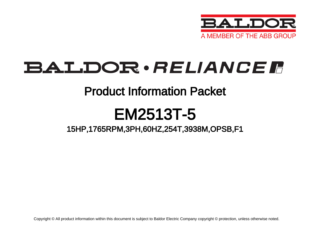

# BALDOR · RELIANCE F

### Product Information Packet

# EM2513T-5

15HP,1765RPM,3PH,60HZ,254T,3938M,OPSB,F1

Copyright © All product information within this document is subject to Baldor Electric Company copyright © protection, unless otherwise noted.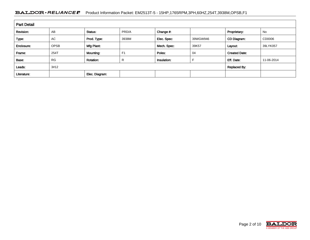#### BALDOR · RELIANCE F Product Information Packet: EM2513T-5 - 15HP,1765RPM,3PH,60HZ,254T,3938M,OPSB,F1

| <b>Part Detail</b> |             |                  |                |             |          |                      |            |  |  |
|--------------------|-------------|------------------|----------------|-------------|----------|----------------------|------------|--|--|
| Revision:          | AB          | Status:          | PRD/A          | Change #:   |          | Proprietary:         | No         |  |  |
| Type:              | AC          | Prod. Type:      | 3938M          | Elec. Spec: | 39WGW946 | CD Diagram:          | CD0006     |  |  |
| Enclosure:         | <b>OPSB</b> | Mfg Plant:       |                | Mech. Spec: | 39K57    | Layout:              | 39LYK057   |  |  |
| Frame:             | 254T        | Mounting:        | F <sub>1</sub> | Poles:      | 04       | <b>Created Date:</b> |            |  |  |
| Base:              | <b>RG</b>   | <b>Rotation:</b> | R              | Insulation: |          | Eff. Date:           | 11-06-2014 |  |  |
| Leads:             | 3#12        |                  |                |             |          | <b>Replaced By:</b>  |            |  |  |
| Literature:        |             | Elec. Diagram:   |                |             |          |                      |            |  |  |

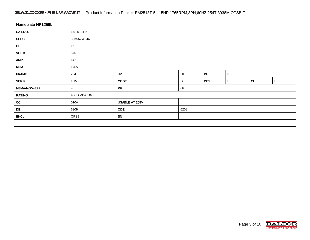#### BALDOR · RELIANCE F Product Information Packet: EM2513T-5 - 15HP,1765RPM,3PH,60HZ,254T,3938M,OPSB,F1

| Nameplate NP1259L |                                        |                |      |            |   |    |             |  |  |
|-------------------|----------------------------------------|----------------|------|------------|---|----|-------------|--|--|
| CAT.NO.           | EM2513T-5                              |                |      |            |   |    |             |  |  |
| SPEC.             | 39K057W946                             |                |      |            |   |    |             |  |  |
| HP                | 15                                     |                |      |            |   |    |             |  |  |
| <b>VOLTS</b>      | 575                                    |                |      |            |   |    |             |  |  |
| <b>AMP</b>        | 14.1                                   |                |      |            |   |    |             |  |  |
| <b>RPM</b>        | 1765                                   |                |      |            |   |    |             |  |  |
| <b>FRAME</b>      | HZ<br>PH<br>$\mathbf{3}$<br>60<br>254T |                |      |            |   |    |             |  |  |
| SER.F.            | 1.15                                   | CODE           | G    | <b>DES</b> | B | CL | $\mathsf F$ |  |  |
| NEMA-NOM-EFF      | 93                                     | PF<br>86       |      |            |   |    |             |  |  |
| <b>RATING</b>     | 40C AMB-CONT                           |                |      |            |   |    |             |  |  |
| cc                | 010A                                   | USABLE AT 208V |      |            |   |    |             |  |  |
| DE                | 6309                                   | <b>ODE</b>     | 6208 |            |   |    |             |  |  |
| <b>ENCL</b>       | OPSB                                   | SN             |      |            |   |    |             |  |  |
|                   |                                        |                |      |            |   |    |             |  |  |

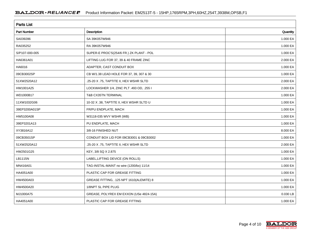| <b>Parts List</b>  |                                          |          |  |  |  |  |
|--------------------|------------------------------------------|----------|--|--|--|--|
| <b>Part Number</b> | Description                              | Quantity |  |  |  |  |
| SA039286           | SA 39K057W946                            | 1.000 EA |  |  |  |  |
| RA035252           | RA 39K057W946                            | 1.000 EA |  |  |  |  |
| S/P107-000-005     | SUPER-E PROC'S(254/6 FR.) ZK PLANT - POL | 1.000 EA |  |  |  |  |
| HA6361A01          | LIFTING LUG FOR 37, 39 & 40 FRAME ZINC   | 2.000 EA |  |  |  |  |
| HA6016             | ADAPTER, CAST CONDUIT BOX                | 1.000 EA |  |  |  |  |
| 09CB3002SP         | CB W/1.38 LEAD HOLE FOR 37, 39, 307 & 30 | 1.000 EA |  |  |  |  |
| 51XW2520A12        | .25-20 X .75, TAPTITE II, HEX WSHR SLTD  | 2.000 EA |  |  |  |  |
| HW1001A25          | LOCKWASHER 1/4, ZINC PLT .493 OD, .255 I | 2.000 EA |  |  |  |  |
| WD1000B17          | T&B CX35TN TERMINAL                      | 1.000 EA |  |  |  |  |
| 11XW1032G06        | 10-32 X .38, TAPTITE II, HEX WSHR SLTD U | 1.000 EA |  |  |  |  |
| 39EP3200A01SP      | FR/PU ENDPLATE, MACH                     | 1.000 EA |  |  |  |  |
| HW5100A08          | W3118-035 WVY WSHR (WB)                  | 1.000 EA |  |  |  |  |
| 39EP3201A13        | PU ENDPLATE, MACH                        | 1.000 EA |  |  |  |  |
| XY3816A12          | 3/8-16 FINISHED NUT                      | 8.000 EA |  |  |  |  |
| 09CB3501SP         | CONDUIT BOX LID FOR 09CB3001 & 09CB3002  | 1.000 EA |  |  |  |  |
| 51XW2520A12        | .25-20 X .75, TAPTITE II, HEX WSHR SLTD  | 2.000 EA |  |  |  |  |
| HW2501G25          | KEY, 3/8 SQ X 2.875                      | 1.000 EA |  |  |  |  |
| LB1115N            | LABEL, LIFTING DEVICE (ON ROLLS)         | 1.000 EA |  |  |  |  |
| MN416A01           | TAG-INSTAL-MAINT no wire (1200/bx) 11/14 | 1.000 EA |  |  |  |  |
| HA4051A00          | PLASTIC CAP FOR GREASE FITTING           | 1.000 EA |  |  |  |  |
| HW4500A03          | GREASE FITTING, .125 NPT 1610(ALEMITE) 8 | 1.000 EA |  |  |  |  |
| HW4500A20          | 1/8NPT SL PIPE PLUG                      | 1.000 EA |  |  |  |  |
| MJ1000A75          | GREASE, POLYREX EM EXXON (USe 4824-15A)  | 0.030 LB |  |  |  |  |
| HA4051A00          | PLASTIC CAP FOR GREASE FITTING           | 1.000 EA |  |  |  |  |

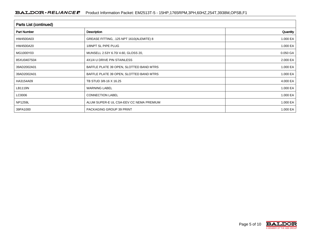| <b>Parts List (continued)</b> |                                          |          |  |  |  |  |
|-------------------------------|------------------------------------------|----------|--|--|--|--|
| <b>Part Number</b>            | Description                              | Quantity |  |  |  |  |
| HW4500A03                     | GREASE FITTING, .125 NPT 1610(ALEMITE) 8 | 1.000 EA |  |  |  |  |
| HW4500A20                     | 1/8NPT SL PIPE PLUG                      | 1.000 EA |  |  |  |  |
| MG1000Y03                     | MUNSELL 2.53Y 6.70/ 4.60, GLOSS 20,      | 0.050 GA |  |  |  |  |
| 85XU0407S04                   | 4X1/4 U DRIVE PIN STAINLESS              | 2.000 EA |  |  |  |  |
| 39AD2002A01                   | BAFFLE PLATE 39 OPEN, SLOTTED BAND MTRS  | 1.000 EA |  |  |  |  |
| 39AD2002A01                   | BAFFLE PLATE 39 OPEN, SLOTTED BAND MTRS  | 1.000 EA |  |  |  |  |
| HA3154A09                     | TB STUD 3/8-16 X 16.25                   | 4.000 EA |  |  |  |  |
| LB1119N                       | <b>WARNING LABEL</b>                     | 1.000 EA |  |  |  |  |
| LC0006                        | <b>CONNECTION LABEL</b>                  | 1.000 EA |  |  |  |  |
| <b>NP1259L</b>                | ALUM SUPER-E UL CSA-EEV CC NEMA PREMIUM  | 1.000 EA |  |  |  |  |
| 39PA1000                      | PACKAGING GROUP 39 PRINT                 | 1.000 EA |  |  |  |  |

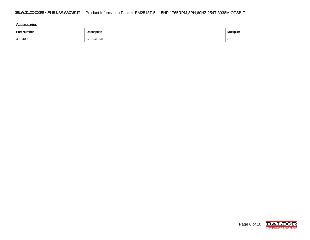| <b>Accessories</b> |             |                   |  |  |  |  |  |
|--------------------|-------------|-------------------|--|--|--|--|--|
| <b>Part Number</b> | Description | <b>Multiplier</b> |  |  |  |  |  |
| 39-3400            | C FACE KIT  | A8                |  |  |  |  |  |

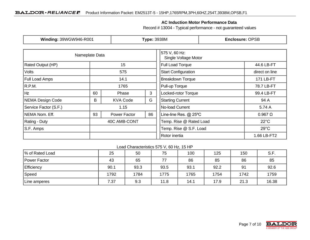### **AC Induction Motor Performance Data**

Record # 13004 - Typical performance - not guaranteed values

| Winding: 39WGW946-R001 |     | <b>Type: 3938M</b> |                                       | <b>Enclosure: OPSB</b>     |                        |                |
|------------------------|-----|--------------------|---------------------------------------|----------------------------|------------------------|----------------|
| Nameplate Data         |     |                    | 575 V, 60 Hz:<br>Single Voltage Motor |                            |                        |                |
| Rated Output (HP)      |     | 15                 |                                       |                            |                        | 44.6 LB-FT     |
| <b>Volts</b>           | 575 |                    |                                       | <b>Start Configuration</b> |                        | direct on line |
| <b>Full Load Amps</b>  |     | 14.1               |                                       | <b>Breakdown Torque</b>    |                        | 171 LB-FT      |
| R.P.M.                 |     | 1765               |                                       | Pull-up Torque             |                        | 78.7 LB-FT     |
| Hz<br>60               |     | Phase              | 3                                     | Locked-rotor Torque        |                        | 99.4 LB-FT     |
| NEMA Design Code       |     | <b>KVA Code</b>    | G                                     | <b>Starting Current</b>    |                        | 94 A           |
| Service Factor (S.F.)  |     | 1.15               |                                       | No-load Current            |                        | 5.74 A         |
| NEMA Nom. Eff.         |     | Power Factor       | 86                                    | Line-line Res. @ 25°C      |                        | $0.967 \Omega$ |
| <b>Rating - Duty</b>   |     | 40C AMB-CONT       |                                       | Temp. Rise @ Rated Load    |                        | $22^{\circ}$ C |
| S.F. Amps              |     |                    |                                       |                            | Temp. Rise @ S.F. Load | $29^{\circ}$ C |
|                        |     |                    |                                       | Rotor inertia              |                        | 1.66 LB-FT2    |

#### Load Characteristics 575 V, 60 Hz, 15 HP

| % of Rated Load | 25   | 50   | 75   | 100  | 125  | 150  | S.F.  |
|-----------------|------|------|------|------|------|------|-------|
| Power Factor    | 43   | 65   | 77   | 86   | 85   | 86   | 85    |
| Efficiency      | 90.1 | 93.3 | 93.5 | 93.1 | 92.2 | 91   | 92.6  |
| Speed           | 1792 | 1784 | 1775 | 1765 | 1754 | 1742 | 1759  |
| Line amperes    | 7.37 | 9.3  | 11.8 | 14.1 | 17.9 | 21.3 | 16.38 |

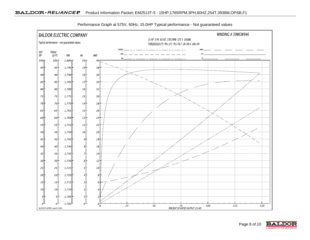

Performance Graph at 575V, 60Hz, 15.0HP Typical performance - Not guaranteed values

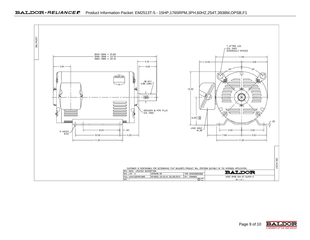